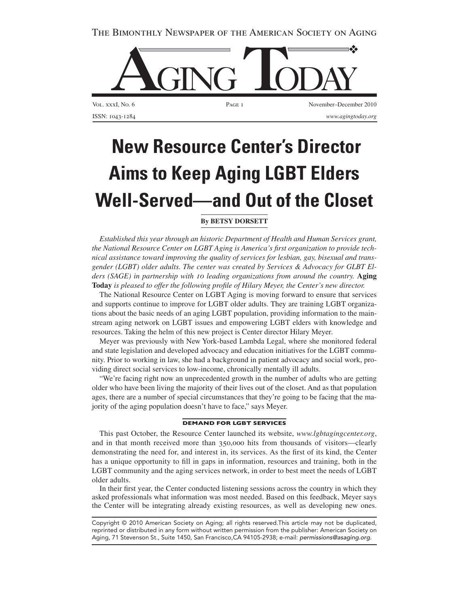The Bimonthly Newspaper of the American Society on Aging



 **New Resource Center's Director Aims to Keep Aging LGBT Elders Well-Served—and Out of the Closet** 

## **By Betsy Dorsett**

*Established this year through an historic Department of Health and Human Services grant, the National Resource Center on LGBT Aging is America's first organization to provide technical assistance toward improving the quality of services for lesbian, gay, bisexual and transgender (LGBT) older adults. The center was created by Services & Advocacy for GLBT Elders (SAGE) in partnership with 10 leading organizations from around the country.* **Aging Today** *is pleased to offer the following profile of Hilary Meyer, the Center's new director.*

The National Resource Center on LGBT Aging is moving forward to ensure that services and supports continue to improve for LGBT older adults. They are training LGBT organizations about the basic needs of an aging LGBT population, providing information to the mainstream aging network on LGBT issues and empowering LGBT elders with knowledge and resources. Taking the helm of this new project is Center director Hilary Meyer.

Meyer was previously with New York-based Lambda Legal, where she monitored federal and state legislation and developed advocacy and education initiatives for the LGBT community. Prior to working in law, she had a background in patient advocacy and social work, providing direct social services to low-income, chronically mentally ill adults.

"We're facing right now an unprecedented growth in the number of adults who are getting older who have been living the majority of their lives out of the closet. And as that population ages, there are a number of special circumstances that they're going to be facing that the majority of the aging population doesn't have to face," says Meyer.

## **Demand for LGBT Services**

This past October, the Resource Center launched its website, *www.lgbtagingcenter.org*, and in that month received more than 350,000 hits from thousands of visitors—clearly demonstrating the need for, and interest in, its services. As the first of its kind, the Center has a unique opportunity to fill in gaps in information, resources and training, both in the LGBT community and the aging services network, in order to best meet the needs of LGBT older adults.

In their first year, the Center conducted listening sessions across the country in which they asked professionals what information was most needed. Based on this feedback, Meyer says the Center will be integrating already existing resources, as well as developing new ones.

Copyright © 2010 American Society on Aging; all rights reserved.This article may not be duplicated, reprinted or distributed in any form without written permission from the publisher: American Society on Aging, 71 Stevenson St., Suite 1450, San Francisco,CA 94105-2938; e-mail: *permissions@asaging.org.*